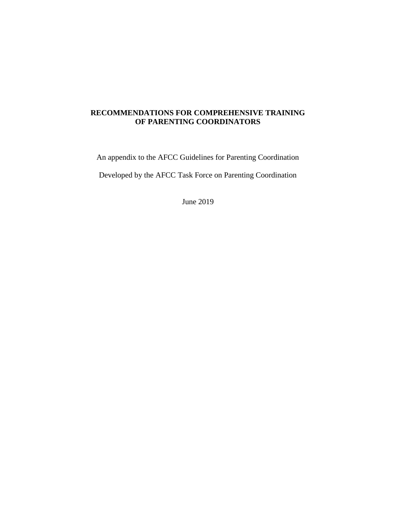# **RECOMMENDATIONS FOR COMPREHENSIVE TRAINING OF PARENTING COORDINATORS**

An appendix to the AFCC Guidelines for Parenting Coordination

Developed by the AFCC Task Force on Parenting Coordination

June 2019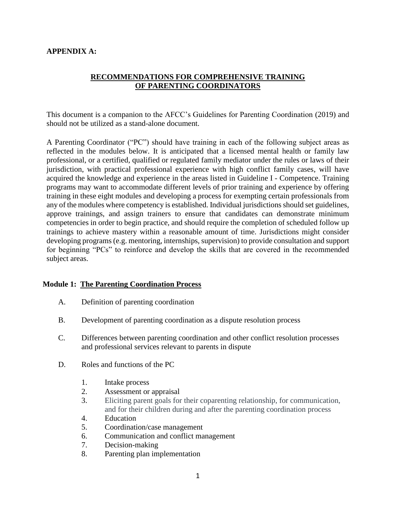### **APPENDIX A:**

### **RECOMMENDATIONS FOR COMPREHENSIVE TRAINING OF PARENTING COORDINATORS**

This document is a companion to the AFCC's Guidelines for Parenting Coordination (2019) and should not be utilized as a stand-alone document.

A Parenting Coordinator ("PC") should have training in each of the following subject areas as reflected in the modules below. It is anticipated that a licensed mental health or family law professional, or a certified, qualified or regulated family mediator under the rules or laws of their jurisdiction, with practical professional experience with high conflict family cases, will have acquired the knowledge and experience in the areas listed in Guideline I - Competence. Training programs may want to accommodate different levels of prior training and experience by offering training in these eight modules and developing a process for exempting certain professionals from any of the modules where competency is established. Individual jurisdictions should set guidelines, approve trainings, and assign trainers to ensure that candidates can demonstrate minimum competencies in order to begin practice, and should require the completion of scheduled follow up trainings to achieve mastery within a reasonable amount of time. Jurisdictions might consider developing programs (e.g. mentoring, internships, supervision) to provide consultation and support for beginning "PCs" to reinforce and develop the skills that are covered in the recommended subject areas.

#### **Module 1: The Parenting Coordination Process**

- A. Definition of parenting coordination
- B. Development of parenting coordination as a dispute resolution process
- C. Differences between parenting coordination and other conflict resolution processes and professional services relevant to parents in dispute
- D. Roles and functions of the PC
	- 1. Intake process
	- 2. Assessment or appraisal
	- 3. Eliciting parent goals for their coparenting relationship, for communication, and for their children during and after the parenting coordination process
	- 4. Education
	- 5. Coordination/case management
	- 6. Communication and conflict management
	- 7. Decision-making
	- 8. Parenting plan implementation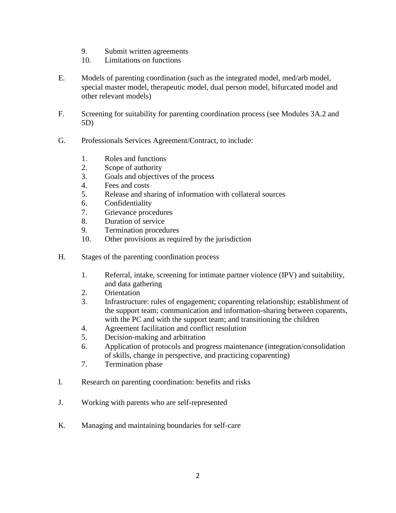- 9. Submit written agreements
- 10. Limitations on functions
- E. Models of parenting coordination (such as the integrated model, med/arb model, special master model, therapeutic model, dual person model, bifurcated model and other relevant models)
- F. Screening for suitability for parenting coordination process (see Modules 3A.2 and 5D)
- G. Professionals Services Agreement/Contract, to include:
	- 1. Roles and functions
	- 2. Scope of authority
	- 3. Goals and objectives of the process
	- 4. Fees and costs
	- 5. Release and sharing of information with collateral sources
	- 6. Confidentiality
	- 7. Grievance procedures
	- 8. Duration of service
	- 9. Termination procedures
	- 10. Other provisions as required by the jurisdiction
- H. Stages of the parenting coordination process
	- 1. Referral, intake, screening for intimate partner violence (IPV) and suitability, and data gathering
	- 2. Orientation
	- 3. Infrastructure: rules of engagement; coparenting relationship; establishment of the support team; communication and information-sharing between coparents, with the PC and with the support team; and transitioning the children
	- 4. Agreement facilitation and conflict resolution
	- 5. Decision-making and arbitration
	- 6. Application of protocols and progress maintenance (integration/consolidation of skills, change in perspective, and practicing coparenting)
	- 7. Termination phase
- I. Research on parenting coordination: benefits and risks
- J. Working with parents who are self-represented
- K. Managing and maintaining boundaries for self-care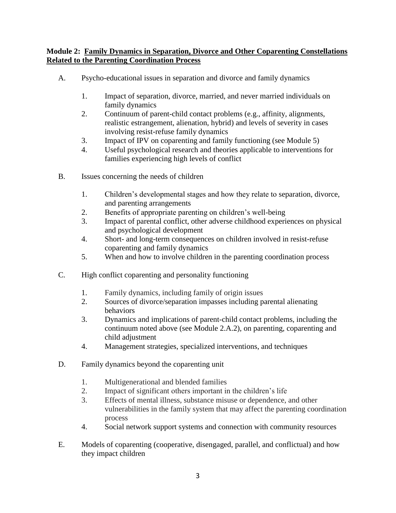## **Module 2: Family Dynamics in Separation, Divorce and Other Coparenting Constellations Related to the Parenting Coordination Process**

- A. Psycho-educational issues in separation and divorce and family dynamics
	- 1. Impact of separation, divorce, married, and never married individuals on family dynamics
	- 2. Continuum of parent-child contact problems (e.g., affinity, alignments, realistic estrangement, alienation, hybrid) and levels of severity in cases involving resist-refuse family dynamics
	- 3. Impact of IPV on coparenting and family functioning (see Module 5)
	- 4. Useful psychological research and theories applicable to interventions for families experiencing high levels of conflict
- B. Issues concerning the needs of children
	- 1. Children's developmental stages and how they relate to separation, divorce, and parenting arrangements
	- 2. Benefits of appropriate parenting on children's well-being
	- 3. Impact of parental conflict, other adverse childhood experiences on physical and psychological development
	- 4. Short- and long-term consequences on children involved in resist-refuse coparenting and family dynamics
	- 5. When and how to involve children in the parenting coordination process
- C. High conflict coparenting and personality functioning
	- 1. Family dynamics, including family of origin issues
	- 2. Sources of divorce/separation impasses including parental alienating behaviors
	- 3. Dynamics and implications of parent-child contact problems, including the continuum noted above (see Module 2.A.2), on parenting, coparenting and child adjustment
	- 4. Management strategies, specialized interventions, and techniques
- D. Family dynamics beyond the coparenting unit
	- 1. Multigenerational and blended families
	- 2. Impact of significant others important in the children's life
	- 3. Effects of mental illness, substance misuse or dependence, and other vulnerabilities in the family system that may affect the parenting coordination process
	- 4. Social network support systems and connection with community resources
- E. Models of coparenting (cooperative, disengaged, parallel, and conflictual) and how they impact children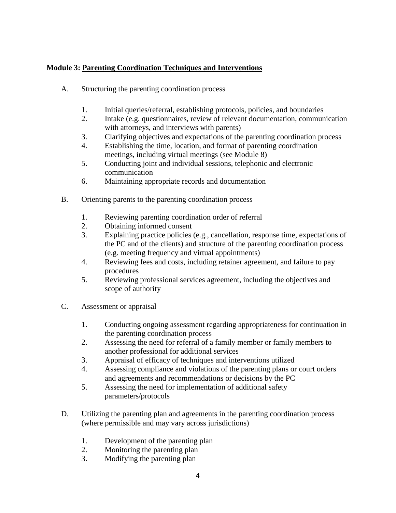# **Module 3: Parenting Coordination Techniques and Interventions**

- A. Structuring the parenting coordination process
	- 1. Initial queries/referral, establishing protocols, policies, and boundaries
	- 2. Intake (e.g. questionnaires, review of relevant documentation, communication with attorneys, and interviews with parents)
	- 3. Clarifying objectives and expectations of the parenting coordination process
	- 4. Establishing the time, location, and format of parenting coordination meetings, including virtual meetings (see Module 8)
	- 5. Conducting joint and individual sessions, telephonic and electronic communication
	- 6. Maintaining appropriate records and documentation
- B. Orienting parents to the parenting coordination process
	- 1. Reviewing parenting coordination order of referral
	- 2. Obtaining informed consent
	- 3. Explaining practice policies (e.g., cancellation, response time, expectations of the PC and of the clients) and structure of the parenting coordination process (e.g. meeting frequency and virtual appointments)
	- 4. Reviewing fees and costs, including retainer agreement, and failure to pay procedures
	- 5. Reviewing professional services agreement, including the objectives and scope of authority
- C. Assessment or appraisal
	- 1. Conducting ongoing assessment regarding appropriateness for continuation in the parenting coordination process
	- 2. Assessing the need for referral of a family member or family members to another professional for additional services
	- 3. Appraisal of efficacy of techniques and interventions utilized
	- 4. Assessing compliance and violations of the parenting plans or court orders and agreements and recommendations or decisions by the PC
	- 5. Assessing the need for implementation of additional safety parameters/protocols
- D. Utilizing the parenting plan and agreements in the parenting coordination process (where permissible and may vary across jurisdictions)
	- 1. Development of the parenting plan
	- 2. Monitoring the parenting plan
	- 3. Modifying the parenting plan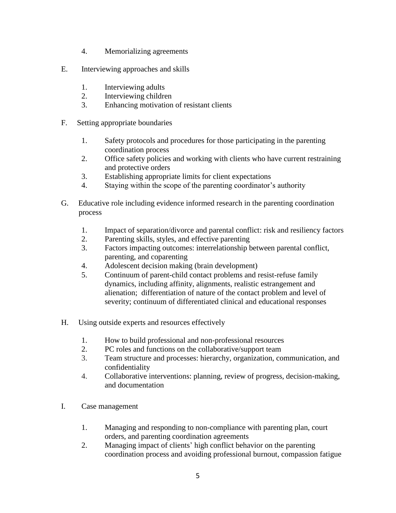- 4. Memorializing agreements
- E. Interviewing approaches and skills
	- 1. Interviewing adults
	- 2. Interviewing children
	- 3. Enhancing motivation of resistant clients
- F. Setting appropriate boundaries
	- 1. Safety protocols and procedures for those participating in the parenting coordination process
	- 2. Office safety policies and working with clients who have current restraining and protective orders
	- 3. Establishing appropriate limits for client expectations
	- 4. Staying within the scope of the parenting coordinator's authority
- G. Educative role including evidence informed research in the parenting coordination process
	- 1. Impact of separation/divorce and parental conflict: risk and resiliency factors
	- 2. Parenting skills, styles, and effective parenting
	- 3. Factors impacting outcomes: interrelationship between parental conflict, parenting, and coparenting
	- 4. Adolescent decision making (brain development)
	- 5. Continuum of parent-child contact problems and resist-refuse family dynamics, including affinity, alignments, realistic estrangement and alienation; differentiation of nature of the contact problem and level of severity; continuum of differentiated clinical and educational responses
- H. Using outside experts and resources effectively
	- 1. How to build professional and non-professional resources
	- 2. PC roles and functions on the collaborative/support team
	- 3. Team structure and processes: hierarchy, organization, communication, and confidentiality
	- 4. Collaborative interventions: planning, review of progress, decision-making, and documentation
- I. Case management
	- 1. Managing and responding to non-compliance with parenting plan, court orders, and parenting coordination agreements
	- 2. Managing impact of clients' high conflict behavior on the parenting coordination process and avoiding professional burnout, compassion fatigue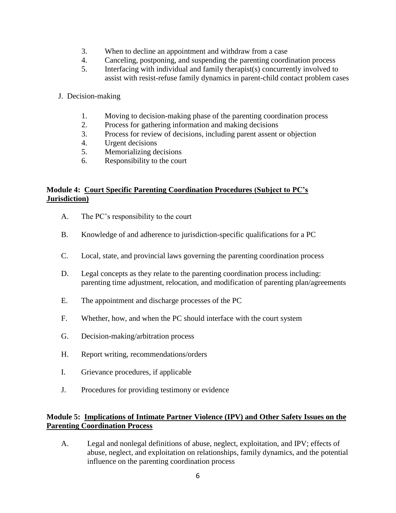- 3. When to decline an appointment and withdraw from a case
- 4. Canceling, postponing, and suspending the parenting coordination process
- 5. Interfacing with individual and family therapist(s) concurrently involved to assist with resist-refuse family dynamics in parent-child contact problem cases
- J. Decision-making
	- 1. Moving to decision-making phase of the parenting coordination process
	- 2. Process for gathering information and making decisions
	- 3. Process for review of decisions, including parent assent or objection
	- 4. Urgent decisions
	- 5. Memorializing decisions
	- 6. Responsibility to the court

## **Module 4: Court Specific Parenting Coordination Procedures (Subject to PC's Jurisdiction)**

- A. The PC's responsibility to the court
- B. Knowledge of and adherence to jurisdiction-specific qualifications for a PC
- C. Local, state, and provincial laws governing the parenting coordination process
- D. Legal concepts as they relate to the parenting coordination process including: parenting time adjustment, relocation, and modification of parenting plan/agreements
- E. The appointment and discharge processes of the PC
- F. Whether, how, and when the PC should interface with the court system
- G. Decision-making/arbitration process
- H. Report writing, recommendations/orders
- I. Grievance procedures, if applicable
- J. Procedures for providing testimony or evidence

# **Module 5: Implications of Intimate Partner Violence (IPV) and Other Safety Issues on the Parenting Coordination Process**

A. Legal and nonlegal definitions of abuse, neglect, exploitation, and IPV; effects of abuse, neglect, and exploitation on relationships, family dynamics, and the potential influence on the parenting coordination process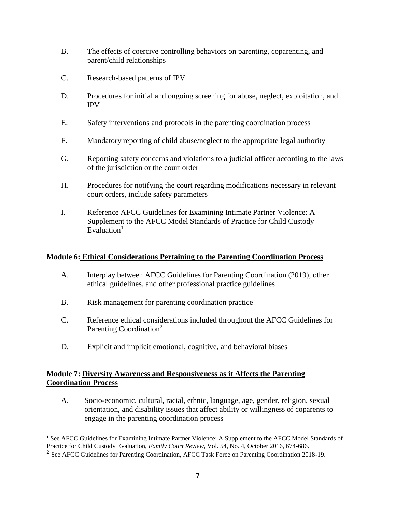- B. The effects of coercive controlling behaviors on parenting, coparenting, and parent/child relationships
- C. Research-based patterns of IPV
- D. Procedures for initial and ongoing screening for abuse, neglect, exploitation, and IPV
- E. Safety interventions and protocols in the parenting coordination process
- F. Mandatory reporting of child abuse/neglect to the appropriate legal authority
- G. Reporting safety concerns and violations to a judicial officer according to the laws of the jurisdiction or the court order
- H. Procedures for notifying the court regarding modifications necessary in relevant court orders, include safety parameters
- I. Reference AFCC Guidelines for Examining Intimate Partner Violence: A Supplement to the AFCC Model Standards of Practice for Child Custody Evaluation $1$

#### **Module 6: Ethical Considerations Pertaining to the Parenting Coordination Process**

- A. Interplay between AFCC Guidelines for Parenting Coordination (2019), other ethical guidelines, and other professional practice guidelines
- B. Risk management for parenting coordination practice
- C. Reference ethical considerations included throughout the AFCC Guidelines for Parenting Coordination<sup>2</sup>
- D. Explicit and implicit emotional, cognitive, and behavioral biases

## **Module 7: Diversity Awareness and Responsiveness as it Affects the Parenting Coordination Process**

A. Socio-economic, cultural, racial, ethnic, language, age, gender, religion, sexual orientation, and disability issues that affect ability or willingness of coparents to engage in the parenting coordination process

 $\overline{a}$ <sup>1</sup> See AFCC Guidelines for Examining Intimate Partner Violence: A Supplement to the AFCC Model Standards of Practice for Child Custody Evaluation, *Family Court Review*, Vol. 54, No. 4, October 2016, 674-686.

<sup>&</sup>lt;sup>2</sup> See AFCC Guidelines for Parenting Coordination, AFCC Task Force on Parenting Coordination 2018-19.